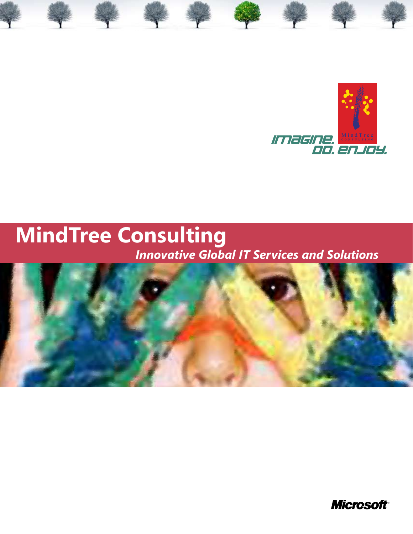

## **MindTree Consulting** *Innovative Global IT Services and Solutions*



**Microsoft**<sup>®</sup>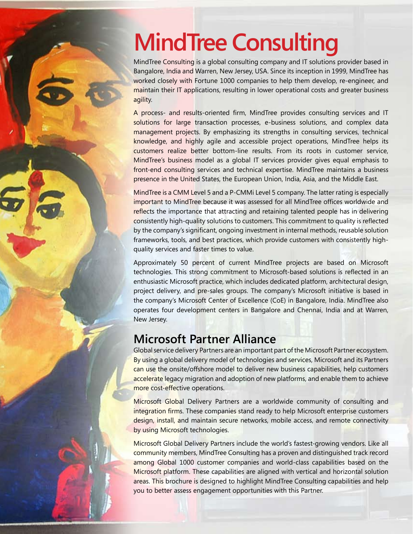# **MindTree Consulting**

MindTree Consulting is a global consulting company and IT solutions provider based in Bangalore, India and Warren, New Jersey, USA. Since its inception in 1999, MindTree has worked closely with Fortune 1000 companies to help them develop, re-engineer, and maintain their IT applications, resulting in lower operational costs and greater business agility.

A process- and results-oriented firm, MindTree provides consulting services and IT solutions for large transaction processes, e-business solutions, and complex data management projects. By emphasizing its strengths in consulting services, technical knowledge, and highly agile and accessible project operations, MindTree helps its customers realize better bottom-line results. From its roots in customer service, MindTree's business model as a global IT services provider gives equal emphasis to front-end consulting services and technical expertise. MindTree maintains a business presence in the United States, the European Union, India, Asia, and the Middle East.

MindTree is a CMM Level 5 and a P-CMMi Level 5 company. The latter rating is especially important to MindTree because it was assessed for all MindTree offices worldwide and reflects the importance that attracting and retaining talented people has in delivering consistently high-quality solutions to customers. This commitment to quality is reflected by the company's significant, ongoing investment in internal methods, reusable solution frameworks, tools, and best practices, which provide customers with consistently highquality services and faster times to value.

Approximately 50 percent of current MindTree projects are based on Microsoft technologies. This strong commitment to Microsoft-based solutions is reflected in an enthusiastic Microsoft practice, which includes dedicated platform, architectural design, project delivery, and pre-sales groups. The company's Microsoft initiative is based in the company's Microsoft Center of Excellence (CoE) in Bangalore, India. MindTree also operates four development centers in Bangalore and Chennai, India and at Warren, New Jersey.

## **Microsoft Partner Alliance**

Global service delivery Partners are an important part of the Microsoft Partner ecosystem. By using a global delivery model of technologies and services, Microsoft and its Partners can use the onsite/offshore model to deliver new business capabilities, help customers accelerate legacy migration and adoption of new platforms, and enable them to achieve more cost-effective operations.

Microsoft Global Delivery Partners are a worldwide community of consulting and integration firms. These companies stand ready to help Microsoft enterprise customers design, install, and maintain secure networks, mobile access, and remote connectivity by using Microsoft technologies.

Microsoft Global Delivery Partners include the world's fastest-growing vendors. Like all community members, MindTree Consulting has a proven and distinguished track record among Global 1000 customer companies and world-class capabilities based on the Microsoft platform. These capabilities are aligned with vertical and horizontal solution areas. This brochure is designed to highlight MindTree Consulting capabilities and help you to better assess engagement opportunities with this Partner.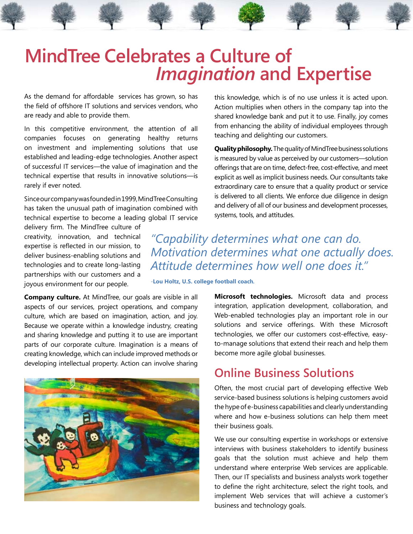## **MindTree Celebrates a Culture of**  *Imagination* **and Expertise**

As the demand for affordable services has grown, so has the field of offshore IT solutions and services vendors, who are ready and able to provide them.

In this competitive environment, the attention of all companies focuses on generating healthy returns on investment and implementing solutions that use established and leading-edge technologies. Another aspect of successful IT services—the value of imagination and the technical expertise that results in innovative solutions—is rarely if ever noted.

Since our company was founded in 1999, MindTree Consulting has taken the unusual path of imagination combined with technical expertise to become a leading global IT service

delivery firm. The MindTree culture of creativity, innovation, and technical expertise is reflected in our mission, to deliver business-enabling solutions and technologies and to create long-lasting partnerships with our customers and a joyous environment for our people.

**Company culture.** At MindTree, our goals are visible in all aspects of our services, project operations, and company culture, which are based on imagination, action, and joy. Because we operate within a knowledge industry, creating and sharing knowledge and putting it to use are important parts of our corporate culture. Imagination is a means of creating knowledge, which can include improved methods or developing intellectual property. Action can involve sharing



this knowledge, which is of no use unless it is acted upon. Action multiplies when others in the company tap into the shared knowledge bank and put it to use. Finally, joy comes from enhancing the ability of individual employees through teaching and delighting our customers.

**Quality philosophy.** The quality of MindTree business solutions is measured by value as perceived by our customers—solution offerings that are on time, defect-free, cost-effective, and meet explicit as well as implicit business needs. Our consultants take extraordinary care to ensure that a quality product or service is delivered to all clients. We enforce due diligence in design and delivery of all of our business and development processes, systems, tools, and attitudes.

*"Capability determines what one can do. Motivation determines what one actually does. Attitude determines how well one does it."*

*-***Lou Holtz, U.S. college football coach***.*

**Microsoft technologies.** Microsoft data and process integration, application development, collaboration, and Web-enabled technologies play an important role in our solutions and service offerings. With these Microsoft technologies, we offer our customers cost-effective, easyto-manage solutions that extend their reach and help them become more agile global businesses.

## **Online Business Solutions**

Often, the most crucial part of developing effective Web service-based business solutions is helping customers avoid the hype of e-business capabilities and clearly understanding where and how e-business solutions can help them meet their business goals.

We use our consulting expertise in workshops or extensive interviews with business stakeholders to identify business goals that the solution must achieve and help them understand where enterprise Web services are applicable. Then, our IT specialists and business analysts work together to define the right architecture, select the right tools, and implement Web services that will achieve a customer's business and technology goals.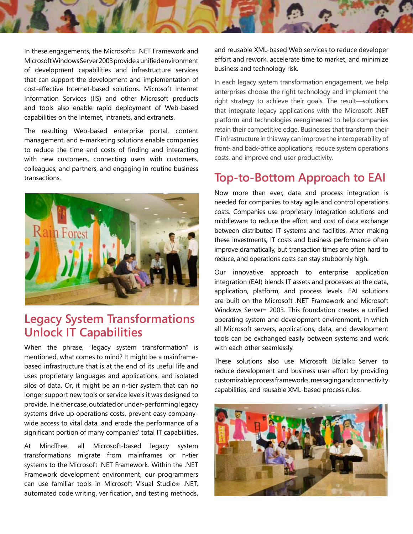

In these engagements, the Microsoft® .NET Framework and Microsoft Windows Server 2003 provide a unified environment of development capabilities and infrastructure services that can support the development and implementation of cost-effective Internet-based solutions. Microsoft Internet Information Services (IIS) and other Microsoft products and tools also enable rapid deployment of Web-based capabilities on the Internet, intranets, and extranets.

The resulting Web-based enterprise portal, content management, and e-marketing solutions enable companies to reduce the time and costs of finding and interacting with new customers, connecting users with customers, colleagues, and partners, and engaging in routine business transactions.



## **Legacy System Transformations Unlock IT Capabilities**

When the phrase, "legacy system transformation" is mentioned, what comes to mind? It might be a mainframebased infrastructure that is at the end of its useful life and uses proprietary languages and applications, and isolated silos of data. Or, it might be an n-tier system that can no longer support new tools or service levels it was designed to provide. In either case, outdated or under-performing legacy systems drive up operations costs, prevent easy companywide access to vital data, and erode the performance of a significant portion of many companies' total IT capabilities.

At MindTree, all Microsoft-based legacy system transformations migrate from mainframes or n-tier systems to the Microsoft .NET Framework. Within the .NET Framework development environment, our programmers can use familiar tools in Microsoft Visual Studio® .NET, automated code writing, verification, and testing methods,

and reusable XML-based Web services to reduce developer effort and rework, accelerate time to market, and minimize business and technology risk.

In each legacy system transformation engagement, we help enterprises choose the right technology and implement the right strategy to achieve their goals. The result—solutions that integrate legacy applications with the Microsoft .NET platform and technologies reengineered to help companies retain their competitive edge. Businesses that transform their IT infrastructure in this way can improve the interoperability of front- and back-office applications, reduce system operations costs, and improve end-user productivity.

## **Top-to-Bottom Approach to EAI**

Now more than ever, data and process integration is needed for companies to stay agile and control operations costs. Companies use proprietary integration solutions and middleware to reduce the effort and cost of data exchange between distributed IT systems and facilities. After making these investments, IT costs and business performance often improve dramatically, but transaction times are often hard to reduce, and operations costs can stay stubbornly high.

Our innovative approach to enterprise application integration (EAI) blends IT assets and processes at the data, application, platform, and process levels. EAI solutions are built on the Microsoft .NET Framework and Microsoft Windows Server™ 2003. This foundation creates a unified operating system and development environment, in which all Microsoft servers, applications, data, and development tools can be exchanged easily between systems and work with each other seamlessly.

These solutions also use Microsoft BizTalk® Server to reduce development and business user effort by providing customizable process frameworks, messaging and connectivity capabilities, and reusable XML-based process rules.

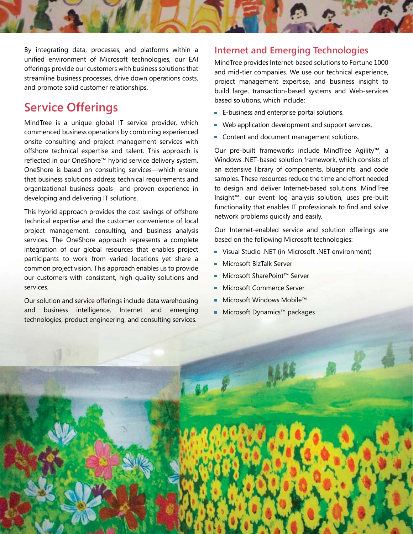

By integrating data, processes, and platforms within a unified environment of Microsoft technologies, our EAI offerings provide our customers with business solutions that streamline business processes, drive down operations costs, and promote solid customer relationships.

## **Service Offerings**

MindTree is a unique global IT service provider, which commenced business operations by combining experienced onsite consulting and project management services with offshore technical expertise and talent. This approach is reflected in our OneShore™ hybrid service delivery system. OneShore is based on consulting services—which ensure that business solutions address technical requirements and organizational business goals—and proven experience in developing and delivering IT solutions.

This hybrid approach provides the cost savings of offshore technical expertise and the customer convenience of local project management, consulting, and business analysis services. The OneShore approach represents a complete integration of our global resources that enables project participants to work from varied locations yet share a common project vision. This approach enables us to provide our customers with consistent, high-quality solutions and services.

Our solution and service offerings include data warehousing and business intelligence, Internet and emerging technologies, product engineering, and consulting services.

### **Internet and Emerging Technologies**

MindTree provides Internet-based solutions to Fortune 1000 and mid-tier companies. We use our technical experience, project management expertise, and business insight to build large, transaction-based systems and Web-services based solutions, which include:

- **E-business and enterprise portal solutions.**
- **Web application development and support services.**
- Content and document management solutions.

Our pre-built frameworks include MindTree Agility™, a Windows .NET-based solution framework, which consists of an extensive library of components, blueprints, and code samples. These resources reduce the time and effort needed to design and deliver Internet-based solutions. MindTree Insight™, our event log analysis solution, uses pre-built functionality that enables IT professionals to find and solve network problems quickly and easily.

Our Internet-enabled service and solution offerings are based on the following Microsoft technologies:

- Visual Studio .NET (in Microsoft .NET environment)
- Microsoft BizTalk Server
- Microsoft SharePoint™ Server m.
- **Microsoft Commerce Server**
- Microsoft Windows Mobile™
- Microsoft Dynamics™ packages

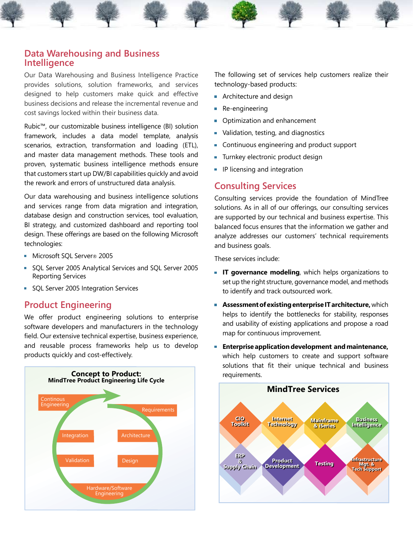#### **Data Warehousing and Business Intelligence**

Our Data Warehousing and Business Intelligence Practice provides solutions, solution frameworks, and services designed to help customers make quick and effective business decisions and release the incremental revenue and cost savings locked within their business data.

Rubic™, our customizable business intelligence (BI) solution framework, includes a data model template, analysis scenarios, extraction, transformation and loading (ETL), and master data management methods. These tools and proven, systematic business intelligence methods ensure that customers start up DW/BI capabilities quickly and avoid the rework and errors of unstructured data analysis.

Our data warehousing and business intelligence solutions and services range from data migration and integration, database design and construction services, tool evaluation, BI strategy, and customized dashboard and reporting tool design. These offerings are based on the following Microsoft technologies:

- Microsoft SQL Server® 2005
- SQL Server 2005 Analytical Services and SQL Server 2005 Reporting Services
- SQL Server 2005 Integration Services

### **Product Engineering**

We offer product engineering solutions to enterprise software developers and manufacturers in the technology field. Our extensive technical expertise, business experience, and reusable process frameworks help us to develop products quickly and cost-effectively.



The following set of services help customers realize their technology-based products:

- **Architecture and design**
- Re-engineering
- **Optimization and enhancement**
- **Validation, testing, and diagnostics**
- Continuous engineering and product support
- Turnkey electronic product design
- **IF licensing and integration**

#### **Consulting Services**

Consulting services provide the foundation of MindTree solutions. As in all of our offerings, our consulting services are supported by our technical and business expertise. This balanced focus ensures that the information we gather and analyze addresses our customers' technical requirements and business goals.

These services include:

- **IT governance modeling**, which helps organizations to set up the right structure, governance model, and methods to identify and track outsourced work.
- **Assessment of existing enterprise IT architecture,** which helps to identify the bottlenecks for stability, responses and usability of existing applications and propose a road map for continuous improvement.
- **Enterprise application development and maintenance,**  which help customers to create and support software solutions that fit their unique technical and business

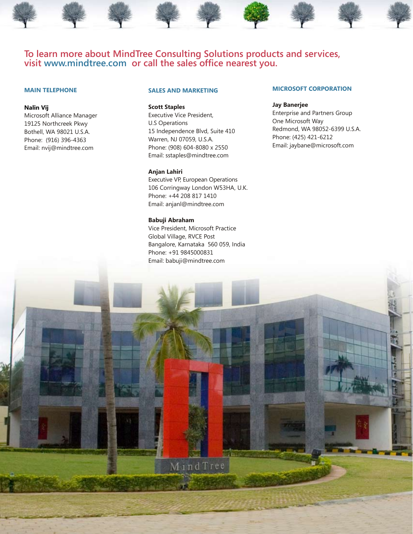#### **To learn more about MindTree Consulting Solutions products and services, visit www.mindtree.com or call the sales office nearest you.**

#### **MAIN TELEPHONE**

#### **Nalin Vij**

Microsoft Alliance Manager 19125 Northcreek Pkwy Bothell, WA 98021 U.S.A. Phone: (916) 396-4363 Email: nvij@mindtree.com

#### **SALES AND MARKETING**

**Scott Staples**

Executive Vice President, U.S Operations 15 Independence Blvd, Suite 410 Warren, NJ 07059, U.S.A. Phone: (908) 604-8080 x 2550 Email: sstaples@mindtree.com

#### **Anjan Lahiri**

Executive VP, European Operations 106 Corringway London W53HA, U.K. Phone: +44 208 817 1410 Email: anjanl@mindtree.com

#### **Babuji Abraham**

Vice President, Microsoft Practice Global Village, RVCE Post Bangalore, Karnataka 560 059, India Phone: +91 9845000831 Email: babuji@mindtree.com

MindTree

#### **MICROSOFT CORPORATION**

#### **Jay Banerjee**

Enterprise and Partners Group One Microsoft Way Redmond, WA 98052-6399 U.S.A. Phone: (425) 421-6212 Email: jaybane@microsoft.com